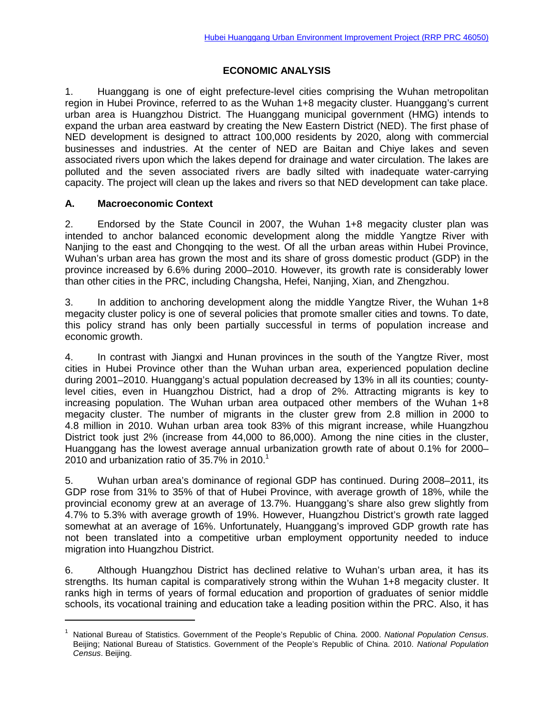# **ECONOMIC ANALYSIS**

1. Huanggang is one of eight prefecture-level cities comprising the Wuhan metropolitan region in Hubei Province, referred to as the Wuhan 1+8 megacity cluster. Huanggang's current urban area is Huangzhou District. The Huanggang municipal government (HMG) intends to expand the urban area eastward by creating the New Eastern District (NED). The first phase of NED development is designed to attract 100,000 residents by 2020, along with commercial businesses and industries. At the center of NED are Baitan and Chiye lakes and seven associated rivers upon which the lakes depend for drainage and water circulation. The lakes are polluted and the seven associated rivers are badly silted with inadequate water-carrying capacity. The project will clean up the lakes and rivers so that NED development can take place.

# **A. Macroeconomic Context**

 $\overline{a}$ 

2. Endorsed by the State Council in 2007, the Wuhan 1+8 megacity cluster plan was intended to anchor balanced economic development along the middle Yangtze River with Nanjing to the east and Chongqing to the west. Of all the urban areas within Hubei Province, Wuhan's urban area has grown the most and its share of gross domestic product (GDP) in the province increased by 6.6% during 2000–2010. However, its growth rate is considerably lower than other cities in the PRC, including Changsha, Hefei, Nanjing, Xian, and Zhengzhou.

3. In addition to anchoring development along the middle Yangtze River, the Wuhan 1+8 megacity cluster policy is one of several policies that promote smaller cities and towns. To date, this policy strand has only been partially successful in terms of population increase and economic growth.

4. In contrast with Jiangxi and Hunan provinces in the south of the Yangtze River, most cities in Hubei Province other than the Wuhan urban area, experienced population decline during 2001–2010. Huanggang's actual population decreased by 13% in all its counties; countylevel cities, even in Huangzhou District, had a drop of 2%. Attracting migrants is key to increasing population. The Wuhan urban area outpaced other members of the Wuhan 1+8 megacity cluster. The number of migrants in the cluster grew from 2.8 million in 2000 to 4.8 million in 2010. Wuhan urban area took 83% of this migrant increase, while Huangzhou District took just 2% (increase from 44,000 to 86,000). Among the nine cities in the cluster, Huanggang has the lowest average annual urbanization growth rate of about 0.1% for 2000– 2010 and urbanization ratio of 35.7% in 2010. 1

5. Wuhan urban area's dominance of regional GDP has continued. During 2008–2011, its GDP rose from 31% to 35% of that of Hubei Province, with average growth of 18%, while the provincial economy grew at an average of 13.7%. Huanggang's share also grew slightly from 4.7% to 5.3% with average growth of 19%. However, Huangzhou District's growth rate lagged somewhat at an average of 16%. Unfortunately, Huanggang's improved GDP growth rate has not been translated into a competitive urban employment opportunity needed to induce migration into Huangzhou District.

6. Although Huangzhou District has declined relative to Wuhan's urban area, it has its strengths. Its human capital is comparatively strong within the Wuhan 1+8 megacity cluster. It ranks high in terms of years of formal education and proportion of graduates of senior middle schools, its vocational training and education take a leading position within the PRC. Also, it has

<sup>1</sup> National Bureau of Statistics. Government of the People's Republic of China. 2000. *National Population Census*. Beijing; National Bureau of Statistics. Government of the People's Republic of China. 2010. *National Population Census*. Beijing.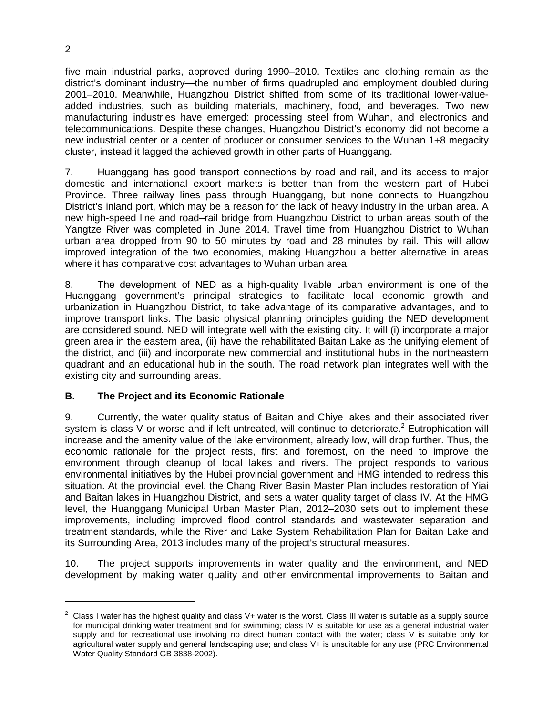five main industrial parks, approved during 1990–2010. Textiles and clothing remain as the district's dominant industry—the number of firms quadrupled and employment doubled during 2001–2010. Meanwhile, Huangzhou District shifted from some of its traditional lower-valueadded industries, such as building materials, machinery, food, and beverages. Two new manufacturing industries have emerged: processing steel from Wuhan, and electronics and telecommunications. Despite these changes, Huangzhou District's economy did not become a new industrial center or a center of producer or consumer services to the Wuhan 1+8 megacity cluster, instead it lagged the achieved growth in other parts of Huanggang.

7. Huanggang has good transport connections by road and rail, and its access to major domestic and international export markets is better than from the western part of Hubei Province. Three railway lines pass through Huanggang, but none connects to Huangzhou District's inland port, which may be a reason for the lack of heavy industry in the urban area. A new high-speed line and road–rail bridge from Huangzhou District to urban areas south of the Yangtze River was completed in June 2014. Travel time from Huangzhou District to Wuhan urban area dropped from 90 to 50 minutes by road and 28 minutes by rail. This will allow improved integration of the two economies, making Huangzhou a better alternative in areas where it has comparative cost advantages to Wuhan urban area.

8. The development of NED as a high-quality livable urban environment is one of the Huanggang government's principal strategies to facilitate local economic growth and urbanization in Huangzhou District, to take advantage of its comparative advantages, and to improve transport links. The basic physical planning principles guiding the NED development are considered sound. NED will integrate well with the existing city. It will (i) incorporate a major green area in the eastern area, (ii) have the rehabilitated Baitan Lake as the unifying element of the district, and (iii) and incorporate new commercial and institutional hubs in the northeastern quadrant and an educational hub in the south. The road network plan integrates well with the existing city and surrounding areas.

## **B. The Project and its Economic Rationale**

9. Currently, the water quality status of Baitan and Chiye lakes and their associated river system is class V or worse and if left untreated, will continue to deteriorate.<sup>2</sup> Eutrophication will increase and the amenity value of the lake environment, already low, will drop further. Thus, the economic rationale for the project rests, first and foremost, on the need to improve the environment through cleanup of local lakes and rivers. The project responds to various environmental initiatives by the Hubei provincial government and HMG intended to redress this situation. At the provincial level, the Chang River Basin Master Plan includes restoration of Yiai and Baitan lakes in Huangzhou District, and sets a water quality target of class IV. At the HMG level, the Huanggang Municipal Urban Master Plan, 2012–2030 sets out to implement these improvements, including improved flood control standards and wastewater separation and treatment standards, while the River and Lake System Rehabilitation Plan for Baitan Lake and its Surrounding Area, 2013 includes many of the project's structural measures.

10. The project supports improvements in water quality and the environment, and NED development by making water quality and other environmental improvements to Baitan and

-

 $2$  Class I water has the highest quality and class V+ water is the worst. Class III water is suitable as a supply source for municipal drinking water treatment and for swimming; class IV is suitable for use as a general industrial water supply and for recreational use involving no direct human contact with the water; class V is suitable only for agricultural water supply and general landscaping use; and class V+ is unsuitable for any use (PRC Environmental Water Quality Standard GB 3838-2002).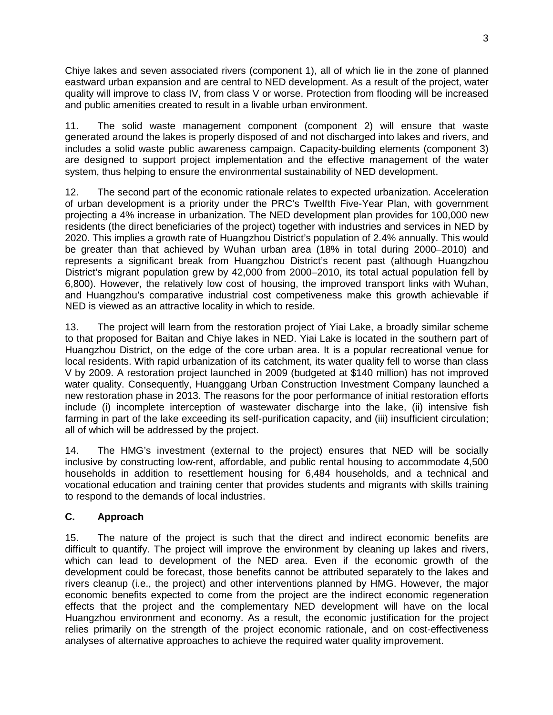Chiye lakes and seven associated rivers (component 1), all of which lie in the zone of planned eastward urban expansion and are central to NED development. As a result of the project, water quality will improve to class IV, from class V or worse. Protection from flooding will be increased and public amenities created to result in a livable urban environment.

11. The solid waste management component (component 2) will ensure that waste generated around the lakes is properly disposed of and not discharged into lakes and rivers, and includes a solid waste public awareness campaign. Capacity-building elements (component 3) are designed to support project implementation and the effective management of the water system, thus helping to ensure the environmental sustainability of NED development.

12. The second part of the economic rationale relates to expected urbanization. Acceleration of urban development is a priority under the PRC's Twelfth Five-Year Plan, with government projecting a 4% increase in urbanization. The NED development plan provides for 100,000 new residents (the direct beneficiaries of the project) together with industries and services in NED by 2020. This implies a growth rate of Huangzhou District's population of 2.4% annually. This would be greater than that achieved by Wuhan urban area (18% in total during 2000–2010) and represents a significant break from Huangzhou District's recent past (although Huangzhou District's migrant population grew by 42,000 from 2000–2010, its total actual population fell by 6,800). However, the relatively low cost of housing, the improved transport links with Wuhan, and Huangzhou's comparative industrial cost competiveness make this growth achievable if NED is viewed as an attractive locality in which to reside.

13. The project will learn from the restoration project of Yiai Lake, a broadly similar scheme to that proposed for Baitan and Chiye lakes in NED. Yiai Lake is located in the southern part of Huangzhou District, on the edge of the core urban area. It is a popular recreational venue for local residents. With rapid urbanization of its catchment, its water quality fell to worse than class V by 2009. A restoration project launched in 2009 (budgeted at \$140 million) has not improved water quality. Consequently, Huanggang Urban Construction Investment Company launched a new restoration phase in 2013. The reasons for the poor performance of initial restoration efforts include (i) incomplete interception of wastewater discharge into the lake, (ii) intensive fish farming in part of the lake exceeding its self-purification capacity, and (iii) insufficient circulation; all of which will be addressed by the project.

14. The HMG's investment (external to the project) ensures that NED will be socially inclusive by constructing low-rent, affordable, and public rental housing to accommodate 4,500 households in addition to resettlement housing for 6,484 households, and a technical and vocational education and training center that provides students and migrants with skills training to respond to the demands of local industries.

# **C. Approach**

15. The nature of the project is such that the direct and indirect economic benefits are difficult to quantify. The project will improve the environment by cleaning up lakes and rivers, which can lead to development of the NED area. Even if the economic growth of the development could be forecast, those benefits cannot be attributed separately to the lakes and rivers cleanup (i.e., the project) and other interventions planned by HMG. However, the major economic benefits expected to come from the project are the indirect economic regeneration effects that the project and the complementary NED development will have on the local Huangzhou environment and economy. As a result, the economic justification for the project relies primarily on the strength of the project economic rationale, and on cost-effectiveness analyses of alternative approaches to achieve the required water quality improvement.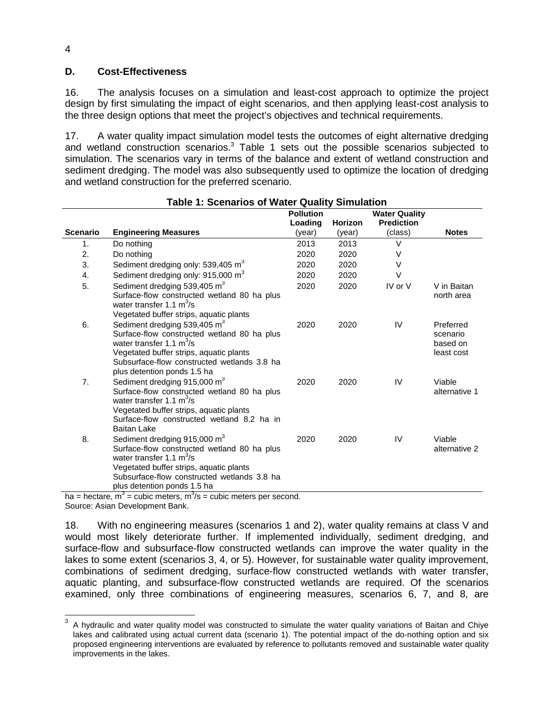## **D. Cost-Effectiveness**

16. The analysis focuses on a simulation and least-cost approach to optimize the project design by first simulating the impact of eight scenarios, and then applying least-cost analysis to the three design options that meet the project's objectives and technical requirements.

17. A water quality impact simulation model tests the outcomes of eight alternative dredging and wetland construction scenarios.3 Table 1 sets out the possible scenarios subjected to simulation. The scenarios vary in terms of the balance and extent of wetland construction and sediment dredging. The model was also subsequently used to optimize the location of dredging and wetland construction for the preferred scenario.

| Table 1: Scenarios of Water Quality Simulation |                                                                                                                                                                                                                                                |                  |                |                      |                                                 |  |  |  |  |  |
|------------------------------------------------|------------------------------------------------------------------------------------------------------------------------------------------------------------------------------------------------------------------------------------------------|------------------|----------------|----------------------|-------------------------------------------------|--|--|--|--|--|
|                                                |                                                                                                                                                                                                                                                | <b>Pollution</b> |                | <b>Water Quality</b> |                                                 |  |  |  |  |  |
|                                                |                                                                                                                                                                                                                                                | Loading          | <b>Horizon</b> | <b>Prediction</b>    |                                                 |  |  |  |  |  |
| <b>Scenario</b>                                | <b>Engineering Measures</b>                                                                                                                                                                                                                    | (year)           | (year)         | (class)              | <b>Notes</b>                                    |  |  |  |  |  |
| 1.                                             | Do nothing                                                                                                                                                                                                                                     | 2013             | 2013           | V                    |                                                 |  |  |  |  |  |
| 2.                                             | Do nothing                                                                                                                                                                                                                                     | 2020             | 2020           | V                    |                                                 |  |  |  |  |  |
| 3.                                             | Sediment dredging only: 539,405 m <sup>3</sup>                                                                                                                                                                                                 | 2020             | 2020           | $\vee$               |                                                 |  |  |  |  |  |
| 4.                                             | Sediment dredging only: 915,000 m <sup>3</sup>                                                                                                                                                                                                 | 2020             | 2020           | $\vee$               |                                                 |  |  |  |  |  |
| 5.                                             | Sediment dredging 539,405 m <sup>3</sup><br>Surface-flow constructed wetland 80 ha plus<br>water transfer 1.1 $m^3/s$<br>Vegetated buffer strips, aquatic plants                                                                               | 2020             | 2020           | IV or V              | V in Baitan<br>north area                       |  |  |  |  |  |
| 6.                                             | Sediment dredging 539,405 m <sup>3</sup><br>Surface-flow constructed wetland 80 ha plus<br>water transfer 1.1 $m^3/s$<br>Vegetated buffer strips, aquatic plants<br>Subsurface-flow constructed wetlands 3.8 ha<br>plus detention ponds 1.5 ha | 2020             | 2020           | IV                   | Preferred<br>scenario<br>based on<br>least cost |  |  |  |  |  |
| 7.                                             | Sediment dredging 915,000 m <sup>3</sup><br>Surface-flow constructed wetland 80 ha plus<br>water transfer 1.1 $m^3/s$<br>Vegetated buffer strips, aquatic plants<br>Surface-flow constructed wetland 8.2 ha in<br><b>Baitan Lake</b>           | 2020             | 2020           | IV                   | Viable<br>alternative 1                         |  |  |  |  |  |
| 8.                                             | Sediment dredging 915,000 m <sup>3</sup><br>Surface-flow constructed wetland 80 ha plus<br>water transfer 1.1 $m^3/s$<br>Vegetated buffer strips, aquatic plants<br>Subsurface-flow constructed wetlands 3.8 ha<br>plus detention ponds 1.5 ha | 2020             | 2020           | IV                   | Viable<br>alternative 2                         |  |  |  |  |  |

ha = hectare, m<sup>3</sup> = cubic meters, m<sup>3</sup>/s = cubic meters per second. Source: Asian Development Bank.

18. With no engineering measures (scenarios 1 and 2), water quality remains at class V and would most likely deteriorate further. If implemented individually, sediment dredging, and surface-flow and subsurface-flow constructed wetlands can improve the water quality in the lakes to some extent (scenarios 3, 4, or 5). However, for sustainable water quality improvement, combinations of sediment dredging, surface-flow constructed wetlands with water transfer, aquatic planting, and subsurface-flow constructed wetlands are required. Of the scenarios examined, only three combinations of engineering measures, scenarios 6, 7, and 8, are

4

<sup>3</sup> A hydraulic and water quality model was constructed to simulate the water quality variations of Baitan and Chiye lakes and calibrated using actual current data (scenario 1). The potential impact of the do-nothing option and six proposed engineering interventions are evaluated by reference to pollutants removed and sustainable water quality improvements in the lakes.  $\overline{a}$